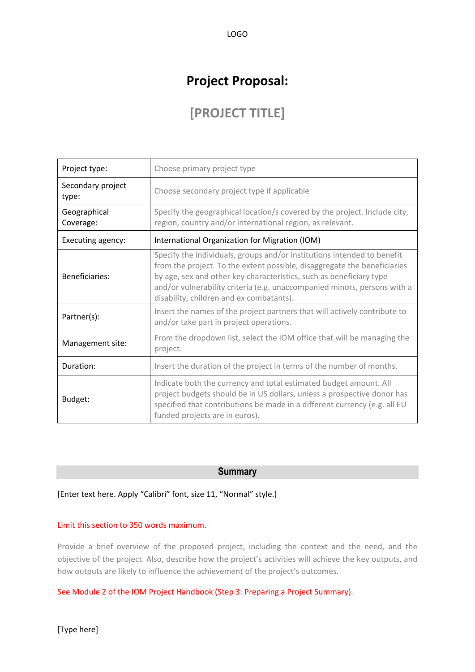# **Project Proposal:**

LOGO

# **[PROJECT TITLE]**

| Project type:              | Choose primary project type                                                                                                                                                                                                                                                                                                                        |  |  |  |  |
|----------------------------|----------------------------------------------------------------------------------------------------------------------------------------------------------------------------------------------------------------------------------------------------------------------------------------------------------------------------------------------------|--|--|--|--|
| Secondary project<br>type: | Choose secondary project type if applicable                                                                                                                                                                                                                                                                                                        |  |  |  |  |
| Geographical<br>Coverage:  | Specify the geographical location/s covered by the project. Include city,<br>region, country and/or international region, as relevant.                                                                                                                                                                                                             |  |  |  |  |
| Executing agency:          | International Organization for Migration (IOM)                                                                                                                                                                                                                                                                                                     |  |  |  |  |
| Beneficiaries:             | Specify the individuals, groups and/or institutions intended to benefit<br>from the project. To the extent possible, disaggregate the beneficiaries<br>by age, sex and other key characteristics, such as beneficiary type<br>and/or vulnerability criteria (e.g. unaccompanied minors, persons with a<br>disability, children and ex combatants). |  |  |  |  |
| Partner(s):                | Insert the names of the project partners that will actively contribute to<br>and/or take part in project operations.                                                                                                                                                                                                                               |  |  |  |  |
| Management site:           | From the dropdown list, select the IOM office that will be managing the<br>project.                                                                                                                                                                                                                                                                |  |  |  |  |
| Duration:                  | Insert the duration of the project in terms of the number of months.                                                                                                                                                                                                                                                                               |  |  |  |  |
| Budget:                    | Indicate both the currency and total estimated budget amount. All<br>project budgets should be in US dollars, unless a prospective donor has<br>specified that contributions be made in a different currency (e.g. all EU<br>funded projects are in euros).                                                                                        |  |  |  |  |

## **Summary**

[Enter text here. Apply "Calibri" font, size 11, "Normal" style.]

#### Limit this section to 350 words maximum.

Provide a brief overview of the proposed project, including the context and the need, and the objective of the project. Also, describe how the project's activities will achieve the key outputs, and how outputs are likely to influence the achievement of the project's outcomes.

See Module 2 of the IOM Project Handbook (Step 3: Preparing a Project Summary).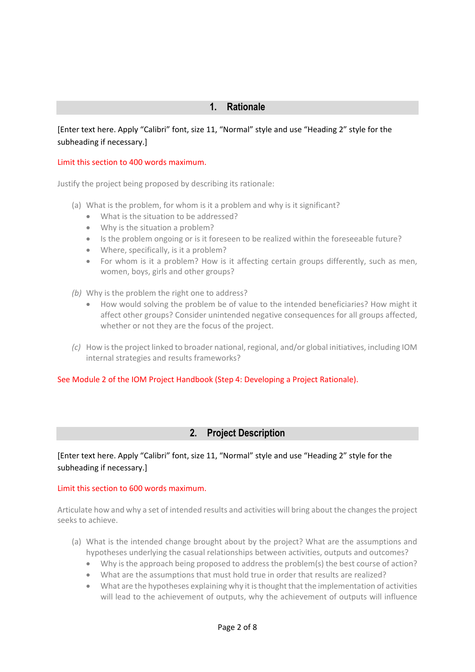[Enter text here. Apply "Calibri" font, size 11, "Normal" style and use "Heading 2" style for the subheading if necessary.]

### Limit this section to 400 words maximum.

Justify the project being proposed by describing its rationale:

- (a) What is the problem, for whom is it a problem and why is it significant?
	- What is the situation to be addressed?
	- Why is the situation a problem?
	- Is the problem ongoing or is it foreseen to be realized within the foreseeable future?
	- Where, specifically, is it a problem?
	- For whom is it a problem? How is it affecting certain groups differently, such as men, women, boys, girls and other groups?
- *(b)* Why is the problem the right one to address?
	- How would solving the problem be of value to the intended beneficiaries? How might it affect other groups? Consider unintended negative consequences for all groups affected, whether or not they are the focus of the project.
- *(c)* How is the project linked to broader national, regional, and/or global initiatives, including IOM internal strategies and results frameworks?

#### See Module 2 of the IOM Project Handbook (Step 4: Developing a Project Rationale).

# **2. Project Description**

# [Enter text here. Apply "Calibri" font, size 11, "Normal" style and use "Heading 2" style for the subheading if necessary.]

#### Limit this section to 600 words maximum.

Articulate how and why a set of intended results and activities will bring about the changes the project seeks to achieve.

- (a) What is the intended change brought about by the project? What are the assumptions and hypotheses underlying the casual relationships between activities, outputs and outcomes?
	- Why is the approach being proposed to address the problem(s) the best course of action?
	- What are the assumptions that must hold true in order that results are realized?
	- What are the hypotheses explaining why it is thought that the implementation of activities will lead to the achievement of outputs, why the achievement of outputs will influence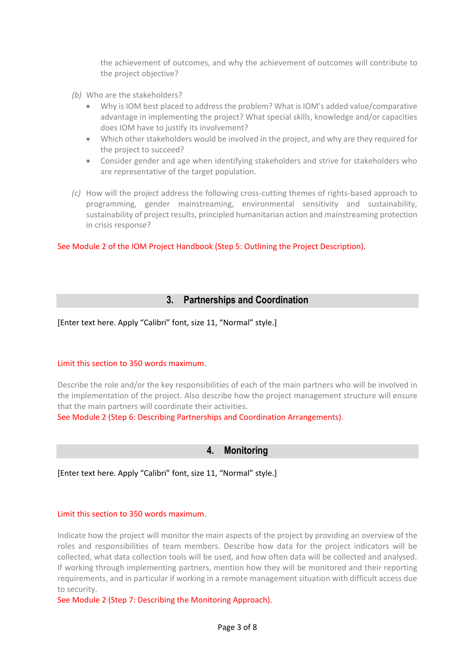the achievement of outcomes, and why the achievement of outcomes will contribute to the project objective?

- *(b)* Who are the stakeholders?
	- Why is IOM best placed to address the problem? What is IOM's added value/comparative advantage in implementing the project? What special skills, knowledge and/or capacities does IOM have to justify its involvement?
	- Which other stakeholders would be involved in the project, and why are they required for the project to succeed?
	- Consider gender and age when identifying stakeholders and strive for stakeholders who are representative of the target population.
- *(c)* How will the project address the following cross-cutting themes of rights-based approach to programming, gender mainstreaming, environmental sensitivity and sustainability, sustainability of project results, principled humanitarian action and mainstreaming protection in crisis response?

See Module 2 of the IOM Project Handbook (Step 5: Outlining the Project Description).

# **3. Partnerships and Coordination**

[Enter text here. Apply "Calibri" font, size 11, "Normal" style.]

#### Limit this section to 350 words maximum.

Describe the role and/or the key responsibilities of each of the main partners who will be involved in the implementation of the project. Also describe how the project management structure will ensure that the main partners will coordinate their activities.

See Module 2 (Step 6: Describing Partnerships and Coordination Arrangements).

# **4. Monitoring**

### [Enter text here. Apply "Calibri" font, size 11, "Normal" style.]

#### Limit this section to 350 words maximum.

Indicate how the project will monitor the main aspects of the project by providing an overview of the roles and responsibilities of team members. Describe how data for the project indicators will be collected, what data collection tools will be used, and how often data will be collected and analysed. If working through implementing partners, mention how they will be monitored and their reporting requirements, and in particular if working in a remote management situation with difficult access due to security.

See Module 2 (Step 7: Describing the Monitoring Approach).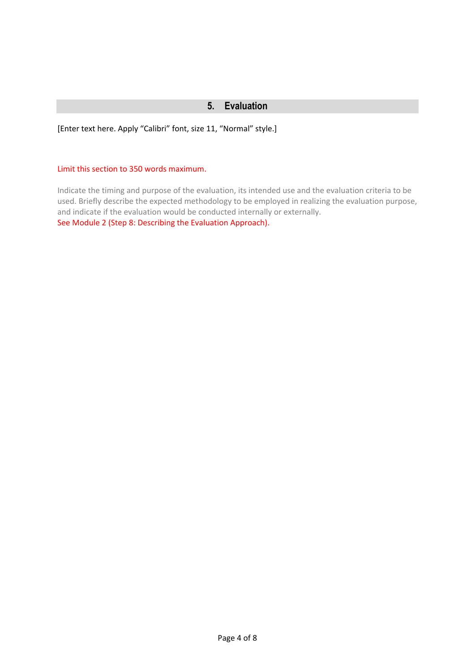## **5. Evaluation**

[Enter text here. Apply "Calibri" font, size 11, "Normal" style.]

#### Limit this section to 350 words maximum.

Indicate the timing and purpose of the evaluation, its intended use and the evaluation criteria to be used. Briefly describe the expected methodology to be employed in realizing the evaluation purpose, and indicate if the evaluation would be conducted internally or externally. See Module 2 (Step 8: Describing the Evaluation Approach).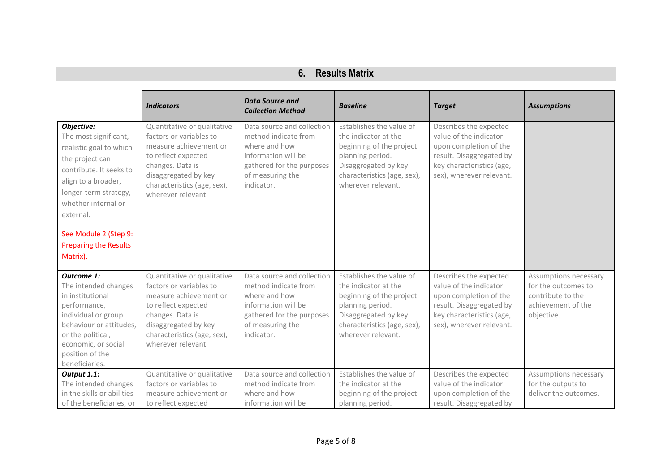| 6.<br><b>Results Matrix</b> |
|-----------------------------|
|-----------------------------|

|                                                                                                                                                                                                                                                                       | <b>Indicators</b>                                                                                                                                                                                        | <b>Data Source and</b><br><b>Collection Method</b>                                                                                                        | <b>Baseline</b>                                                                                                                                                               | <b>Target</b>                                                                                                                                                   | <b>Assumptions</b>                                                                                    |
|-----------------------------------------------------------------------------------------------------------------------------------------------------------------------------------------------------------------------------------------------------------------------|----------------------------------------------------------------------------------------------------------------------------------------------------------------------------------------------------------|-----------------------------------------------------------------------------------------------------------------------------------------------------------|-------------------------------------------------------------------------------------------------------------------------------------------------------------------------------|-----------------------------------------------------------------------------------------------------------------------------------------------------------------|-------------------------------------------------------------------------------------------------------|
| Objective:<br>The most significant,<br>realistic goal to which<br>the project can<br>contribute. It seeks to<br>align to a broader,<br>longer-term strategy,<br>whether internal or<br>external.<br>See Module 2 (Step 9:<br><b>Preparing the Results</b><br>Matrix). | Quantitative or qualitative<br>factors or variables to<br>measure achievement or<br>to reflect expected<br>changes. Data is<br>disaggregated by key<br>characteristics (age, sex),<br>wherever relevant. | Data source and collection<br>method indicate from<br>where and how<br>information will be<br>gathered for the purposes<br>of measuring the<br>indicator. | Establishes the value of<br>the indicator at the<br>beginning of the project<br>planning period.<br>Disaggregated by key<br>characteristics (age, sex),<br>wherever relevant. | Describes the expected<br>value of the indicator<br>upon completion of the<br>result. Disaggregated by<br>key characteristics (age,<br>sex), wherever relevant. |                                                                                                       |
| <b>Outcome 1:</b><br>The intended changes<br>in institutional<br>performance,<br>individual or group<br>behaviour or attitudes,<br>or the political,<br>economic, or social<br>position of the<br>beneficiaries.                                                      | Quantitative or qualitative<br>factors or variables to<br>measure achievement or<br>to reflect expected<br>changes. Data is<br>disaggregated by key<br>characteristics (age, sex),<br>wherever relevant. | Data source and collection<br>method indicate from<br>where and how<br>information will be<br>gathered for the purposes<br>of measuring the<br>indicator. | Establishes the value of<br>the indicator at the<br>beginning of the project<br>planning period.<br>Disaggregated by key<br>characteristics (age, sex),<br>wherever relevant. | Describes the expected<br>value of the indicator<br>upon completion of the<br>result. Disaggregated by<br>key characteristics (age,<br>sex), wherever relevant. | Assumptions necessary<br>for the outcomes to<br>contribute to the<br>achievement of the<br>objective. |
| Output 1.1:<br>The intended changes<br>in the skills or abilities<br>of the beneficiaries, or                                                                                                                                                                         | Quantitative or qualitative<br>factors or variables to<br>measure achievement or<br>to reflect expected                                                                                                  | Data source and collection<br>method indicate from<br>where and how<br>information will be                                                                | Establishes the value of<br>the indicator at the<br>beginning of the project<br>planning period.                                                                              | Describes the expected<br>value of the indicator<br>upon completion of the<br>result. Disaggregated by                                                          | Assumptions necessary<br>for the outputs to<br>deliver the outcomes.                                  |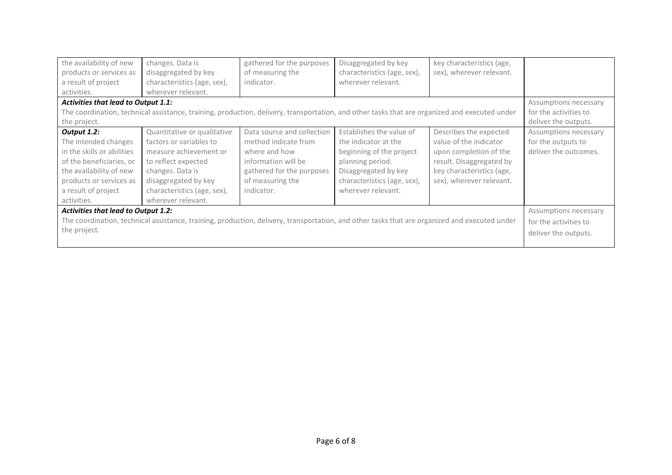| the availability of new<br>products or services as<br>a result of project<br>activities.                                                                                                  | changes. Data is<br>disaggregated by key<br>characteristics (age, sex),<br>wherever relevant.                                                                                                            | gathered for the purposes<br>of measuring the<br>indicator.                                                                                               | Disaggregated by key<br>characteristics (age, sex),<br>wherever relevant.                                                                                                     | key characteristics (age,<br>sex), wherever relevant.                                                                                                           |                                                                      |
|-------------------------------------------------------------------------------------------------------------------------------------------------------------------------------------------|----------------------------------------------------------------------------------------------------------------------------------------------------------------------------------------------------------|-----------------------------------------------------------------------------------------------------------------------------------------------------------|-------------------------------------------------------------------------------------------------------------------------------------------------------------------------------|-----------------------------------------------------------------------------------------------------------------------------------------------------------------|----------------------------------------------------------------------|
| <b>Activities that lead to Output 1.1:</b>                                                                                                                                                | Assumptions necessary                                                                                                                                                                                    |                                                                                                                                                           |                                                                                                                                                                               |                                                                                                                                                                 |                                                                      |
| The coordination, technical assistance, training, production, delivery, transportation, and other tasks that are organized and executed under                                             | for the activities to                                                                                                                                                                                    |                                                                                                                                                           |                                                                                                                                                                               |                                                                                                                                                                 |                                                                      |
| the project.                                                                                                                                                                              | deliver the outputs.                                                                                                                                                                                     |                                                                                                                                                           |                                                                                                                                                                               |                                                                                                                                                                 |                                                                      |
| Output 1.2:<br>The intended changes<br>in the skills or abilities<br>of the beneficiaries, or<br>the availability of new<br>products or services as<br>a result of project<br>activities. | Quantitative or qualitative<br>factors or variables to<br>measure achievement or<br>to reflect expected<br>changes. Data is<br>disaggregated by key<br>characteristics (age, sex),<br>wherever relevant. | Data source and collection<br>method indicate from<br>where and how<br>information will be<br>gathered for the purposes<br>of measuring the<br>indicator. | Establishes the value of<br>the indicator at the<br>beginning of the project<br>planning period.<br>Disaggregated by key<br>characteristics (age, sex),<br>wherever relevant. | Describes the expected<br>value of the indicator<br>upon completion of the<br>result. Disaggregated by<br>key characteristics (age,<br>sex), wherever relevant. | Assumptions necessary<br>for the outputs to<br>deliver the outcomes. |
| <b>Activities that lead to Output 1.2:</b>                                                                                                                                                |                                                                                                                                                                                                          |                                                                                                                                                           |                                                                                                                                                                               |                                                                                                                                                                 | Assumptions necessary                                                |
| The coordination, technical assistance, training, production, delivery, transportation, and other tasks that are organized and executed under                                             |                                                                                                                                                                                                          |                                                                                                                                                           |                                                                                                                                                                               |                                                                                                                                                                 | for the activities to                                                |
| the project.                                                                                                                                                                              |                                                                                                                                                                                                          |                                                                                                                                                           |                                                                                                                                                                               |                                                                                                                                                                 | deliver the outputs.                                                 |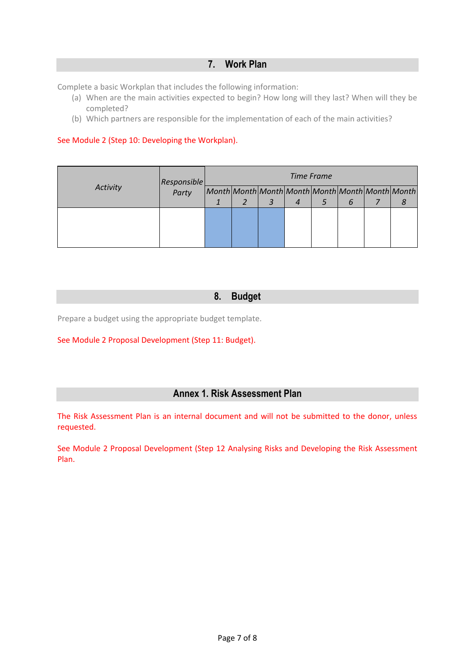# **7. Work Plan**

Complete a basic Workplan that includes the following information:

- (a) When are the main activities expected to begin? How long will they last? When will they be completed?
- (b) Which partners are responsible for the implementation of each of the main activities?

### See Module 2 (Step 10: Developing the Workplan).

| Activity | Responsible<br>Party | Time Frame |  |  |                  |  |   |  |                                                 |
|----------|----------------------|------------|--|--|------------------|--|---|--|-------------------------------------------------|
|          |                      |            |  |  |                  |  |   |  | Month Month Month Month Month Month Month Month |
|          |                      |            |  |  | $\boldsymbol{4}$ |  | b |  |                                                 |
|          |                      |            |  |  |                  |  |   |  |                                                 |
|          |                      |            |  |  |                  |  |   |  |                                                 |
|          |                      |            |  |  |                  |  |   |  |                                                 |
|          |                      |            |  |  |                  |  |   |  |                                                 |

# **8. Budget**

Prepare a budget using the appropriate budget template.

#### See Module 2 Proposal Development (Step 11: Budget).

# **Annex 1. Risk Assessment Plan**

The Risk Assessment Plan is an internal document and will not be submitted to the donor, unless requested.

See Module 2 Proposal Development (Step 12 Analysing Risks and Developing the Risk Assessment Plan.